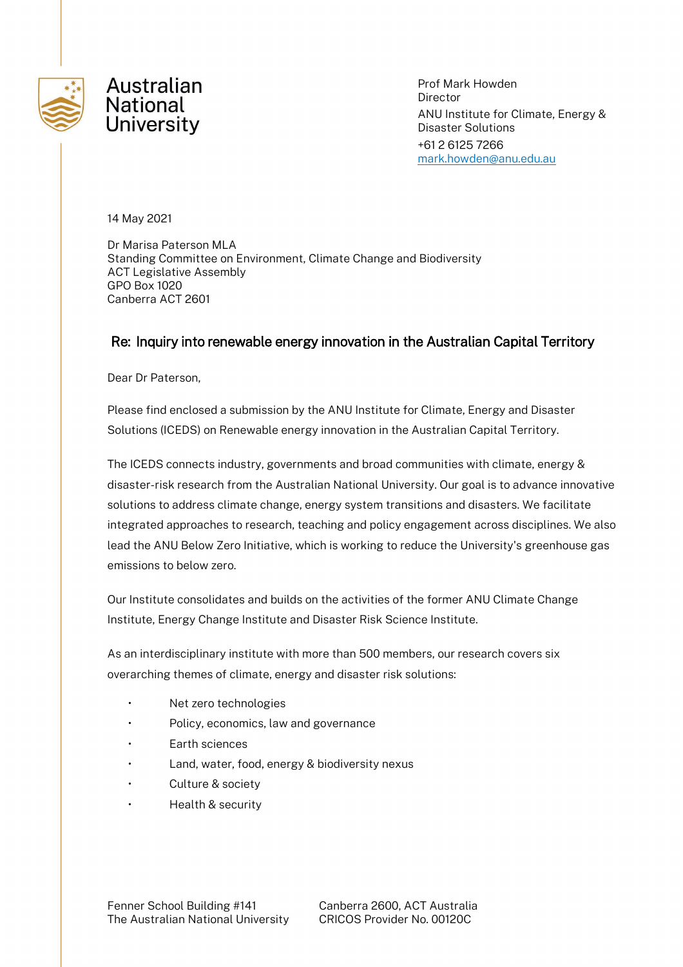

Prof Mark Howden Director ANU Institute for Climate, Energy & Disaster Solutions +61 2 6125 7266 [mark.howden@anu.edu.au](mailto:francis.markham@anu.edu.au)

14 May 2021

Dr Marisa Paterson MLA Standing Committee on Environment, Climate Change and Biodiversity ACT Legislative Assembly GPO Box 1020 Canberra ACT 2601

#### Re: Inquiry into renewable energy innovation in the Australian Capital Territory

Dear Dr Paterson,

Please find enclosed a submission by the ANU Institute for Climate, Energy and Disaster Solutions (ICEDS) on Renewable energy innovation in the Australian Capital Territory.

The ICEDS connects industry, governments and broad communities with climate, energy & disaster-risk research from the Australian National University. Our goal is to advance innovative solutions to address climate change, energy system transitions and disasters. We facilitate integrated approaches to research, teaching and policy engagement across disciplines. We also lead the ANU Below Zero Initiative, which is working to reduce the University's greenhouse gas emissions to below zero.

Our Institute consolidates and builds on the activities of the former ANU Climate Change Institute, Energy Change Institute and Disaster Risk Science Institute.

As an interdisciplinary institute with more than 500 members, our research covers six overarching themes of climate, energy and disaster risk solutions:

- Net zero technologies
- Policy, economics, law and governance
- Earth sciences
- Land, water, food, energy & biodiversity nexus
- Culture & society
- Health & security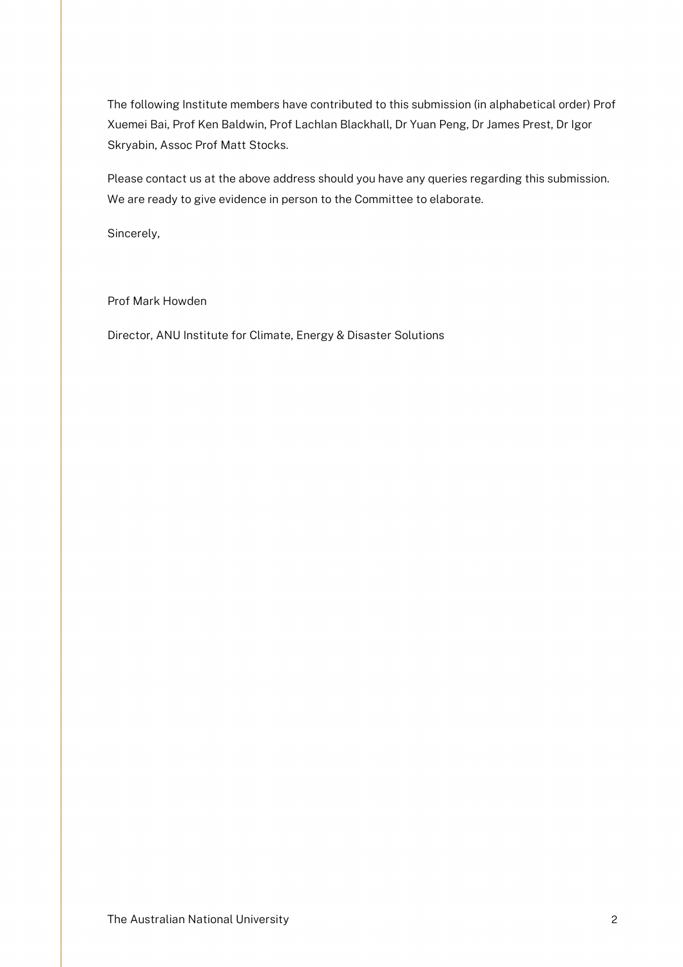The following Institute members have contributed to this submission (in alphabetical order) Prof Xuemei Bai, Prof Ken Baldwin, Prof Lachlan Blackhall, Dr Yuan Peng, Dr James Prest, Dr Igor Skryabin, Assoc Prof Matt Stocks.

Please contact us at the above address should you have any queries regarding this submission. We are ready to give evidence in person to the Committee to elaborate.

Sincerely,

Prof Mark Howden

Director, ANU Institute for Climate, Energy & Disaster Solutions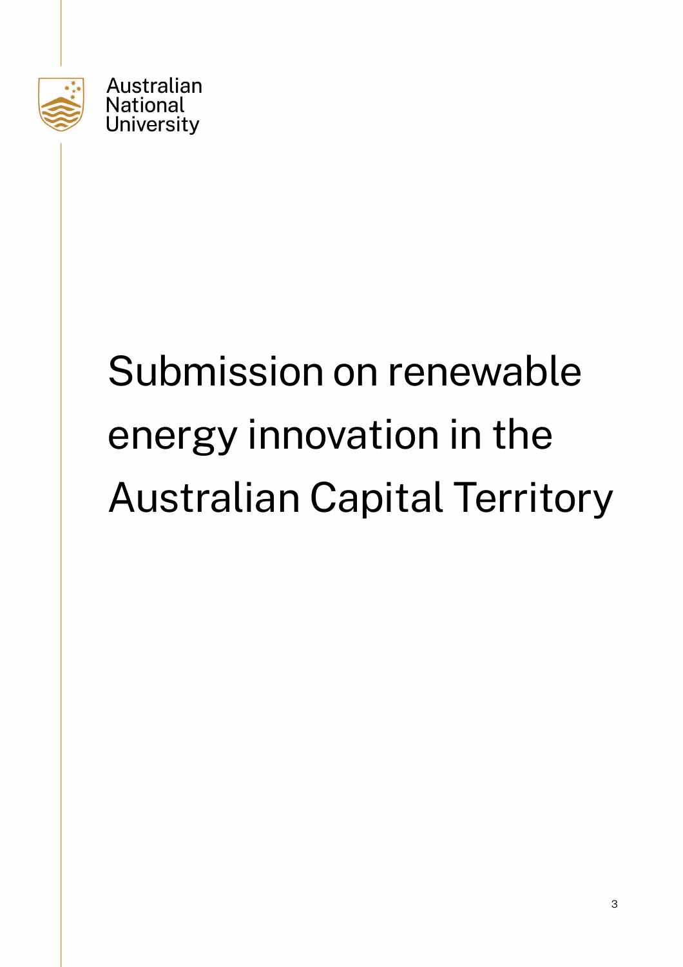

# Submission on renewable energy innovation in the Australian Capital Territory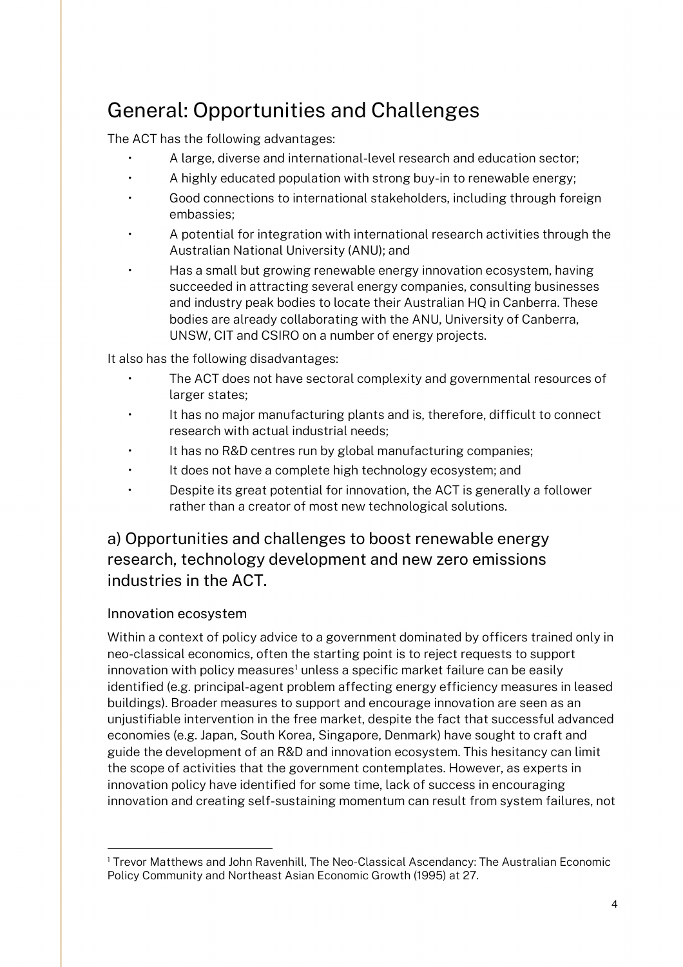# General: Opportunities and Challenges

The ACT has the following advantages:

- A large, diverse and international-level research and education sector;
- A highly educated population with strong buy-in to renewable energy;
- Good connections to international stakeholders, including through foreign embassies;
- A potential for integration with international research activities through the Australian National University (ANU); and
- Has a small but growing renewable energy innovation ecosystem, having succeeded in attracting several energy companies, consulting businesses and industry peak bodies to locate their Australian HQ in Canberra. These bodies are already collaborating with the ANU, University of Canberra, UNSW, CIT and CSIRO on a number of energy projects.

It also has the following disadvantages:

- The ACT does not have sectoral complexity and governmental resources of larger states;
- It has no major manufacturing plants and is, therefore, difficult to connect research with actual industrial needs;
- It has no R&D centres run by global manufacturing companies;
- It does not have a complete high technology ecosystem; and
- Despite its great potential for innovation, the ACT is generally a follower rather than a creator of most new technological solutions.

# a) Opportunities and challenges to boost renewable energy research, technology development and new zero emissions industries in the ACT.

#### Innovation ecosystem

Within a context of policy advice to a government dominated by officers trained only in neo-classical economics, often the starting point is to reject requests to support innovation with policy measures<sup>[1](#page-3-0)</sup> unless a specific market failure can be easily identified (e.g. principal-agent problem affecting energy efficiency measures in leased buildings). Broader measures to support and encourage innovation are seen as an unjustifiable intervention in the free market, despite the fact that successful advanced economies (e.g. Japan, South Korea, Singapore, Denmark) have sought to craft and guide the development of an R&D and innovation ecosystem. This hesitancy can limit the scope of activities that the government contemplates. However, as experts in innovation policy have identified for some time, lack of success in encouraging innovation and creating self-sustaining momentum can result from system failures, not

<span id="page-3-0"></span> <sup>1</sup> Trevor Matthews and John Ravenhill, The Neo-Classical Ascendancy: The Australian Economic Policy Community and Northeast Asian Economic Growth (1995) at 27.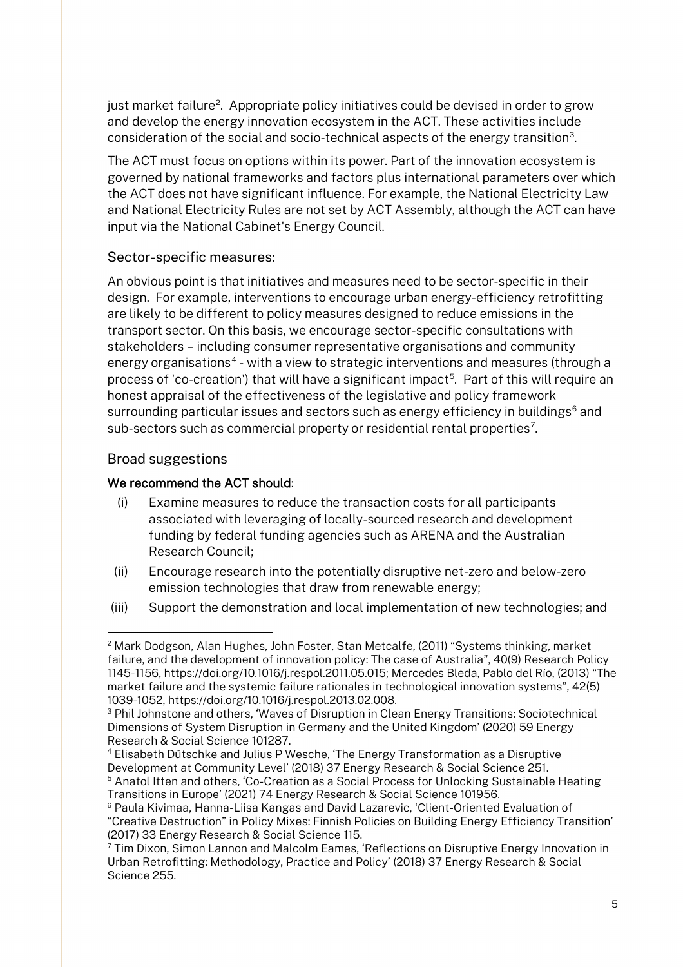just market failure<sup>[2](#page-4-0)</sup>. Appropriate policy initiatives could be devised in order to grow and develop the energy innovation ecosystem in the ACT. These activities include consideration of the social and socio-technical aspects of the energy transition[3](#page-4-1).

The ACT must focus on options within its power. Part of the innovation ecosystem is governed by national frameworks and factors plus international parameters over which the ACT does not have significant influence. For example, the National Electricity Law and National Electricity Rules are not set by ACT Assembly, although the ACT can have input via the National Cabinet's Energy Council.

#### Sector-specific measures:

An obvious point is that initiatives and measures need to be sector-specific in their design. For example, interventions to encourage urban energy-efficiency retrofitting are likely to be different to policy measures designed to reduce emissions in the transport sector. On this basis, we encourage sector-specific consultations with stakeholders – including consumer representative organisations and community energy organisations<sup>[4](#page-4-2)</sup> - with a view to strategic interventions and measures (through a process of 'co-creation') that will have a significant impact<sup>5</sup>. Part of this will require an honest appraisal of the effectiveness of the legislative and policy framework surrounding particular issues and sectors such as energy efficiency in buildings $<sup>6</sup>$  $<sup>6</sup>$  $<sup>6</sup>$  and</sup> sub-sectors such as commercial property or residential rental properties $7$ .

#### Broad suggestions

#### We recommend the ACT should:

- (i) Examine measures to reduce the transaction costs for all participants associated with leveraging of locally-sourced research and development funding by federal funding agencies such as ARENA and the Australian Research Council;
- (ii) Encourage research into the potentially disruptive net-zero and below-zero emission technologies that draw from renewable energy;
- (iii) Support the demonstration and local implementation of new technologies; and

<span id="page-4-0"></span> <sup>2</sup> Mark Dodgson, Alan Hughes, John Foster, Stan Metcalfe, (2011) "Systems thinking, market failure, and the development of innovation policy: The case of Australia", 40(9) Research Policy 1145-1156, https://doi.org/10.1016/j.respol.2011.05.015; Mercedes Bleda, Pablo del Río, (2013) "The market failure and the systemic failure rationales in technological innovation systems", 42(5) 1039-1052, https://doi.org/10.1016/j.respol.2013.02.008.

<span id="page-4-1"></span><sup>&</sup>lt;sup>3</sup> Phil Johnstone and others, 'Waves of Disruption in Clean Energy Transitions: Sociotechnical Dimensions of System Disruption in Germany and the United Kingdom' (2020) 59 Energy Research & Social Science 101287.

<span id="page-4-2"></span><sup>4</sup> Elisabeth Dütschke and Julius P Wesche, 'The Energy Transformation as a Disruptive Development at Community Level' (2018) 37 Energy Research & Social Science 251. <sup>5</sup> Anatol Itten and others, 'Co-Creation as a Social Process for Unlocking Sustainable Heating Transitions in Europe' (2021) 74 Energy Research & Social Science 101956.

<span id="page-4-4"></span><span id="page-4-3"></span><sup>6</sup> Paula Kivimaa, Hanna-Liisa Kangas and David Lazarevic, 'Client-Oriented Evaluation of "Creative Destruction" in Policy Mixes: Finnish Policies on Building Energy Efficiency Transition' (2017) 33 Energy Research & Social Science 115.

<span id="page-4-5"></span> $7$  Tim Dixon, Simon Lannon and Malcolm Eames, 'Reflections on Disruptive Energy Innovation in Urban Retrofitting: Methodology, Practice and Policy' (2018) 37 Energy Research & Social Science 255.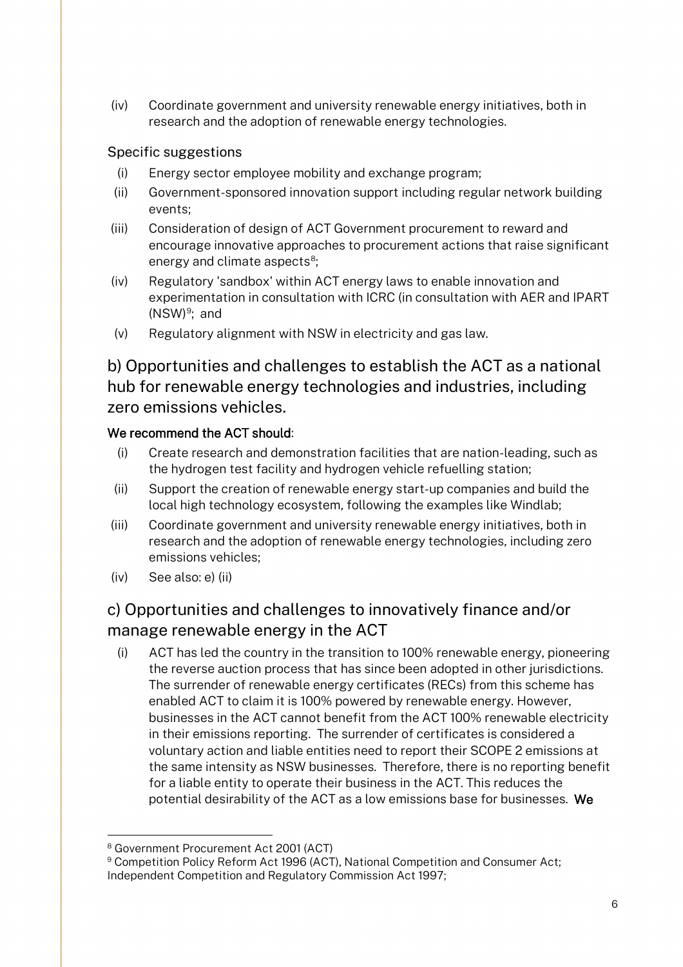(iv) Coordinate government and university renewable energy initiatives, both in research and the adoption of renewable energy technologies.

#### Specific suggestions

- (i) Energy sector employee mobility and exchange program;
- (ii) Government-sponsored innovation support including regular network building events;
- (iii) Consideration of design of ACT Government procurement to reward and encourage innovative approaches to procurement actions that raise significant energy and climate aspects<sup>8</sup>;
- (iv) Regulatory 'sandbox' within ACT energy laws to enable innovation and experimentation in consultation with ICRC (in consultation with AER and IPART (NSW) [9;](#page-5-1) and
- (v) Regulatory alignment with NSW in electricity and gas law.

b) Opportunities and challenges to establish the ACT as a national hub for renewable energy technologies and industries, including zero emissions vehicles.

#### We recommend the ACT should:

- (i) Create research and demonstration facilities that are nation-leading, such as the hydrogen test facility and hydrogen vehicle refuelling station;
- (ii) Support the creation of renewable energy start-up companies and build the local high technology ecosystem, following the examples like Windlab;
- (iii) Coordinate government and university renewable energy initiatives, both in research and the adoption of renewable energy technologies, including zero emissions vehicles;
- (iv) See also: e) (ii)

# c) Opportunities and challenges to innovatively finance and/or manage renewable energy in the ACT

(i) ACT has led the country in the transition to 100% renewable energy, pioneering the reverse auction process that has since been adopted in other jurisdictions. The surrender of renewable energy certificates (RECs) from this scheme has enabled ACT to claim it is 100% powered by renewable energy. However, businesses in the ACT cannot benefit from the ACT 100% renewable electricity in their emissions reporting. The surrender of certificates is considered a voluntary action and liable entities need to report their SCOPE 2 emissions at the same intensity as NSW businesses. Therefore, there is no reporting benefit for a liable entity to operate their business in the ACT. This reduces the potential desirability of the ACT as a low emissions base for businesses. We

 <sup>8</sup> Government Procurement Act 2001 (ACT)

<span id="page-5-1"></span><span id="page-5-0"></span><sup>9</sup> Competition Policy Reform Act 1996 (ACT), National Competition and Consumer Act; Independent Competition and Regulatory Commission Act 1997;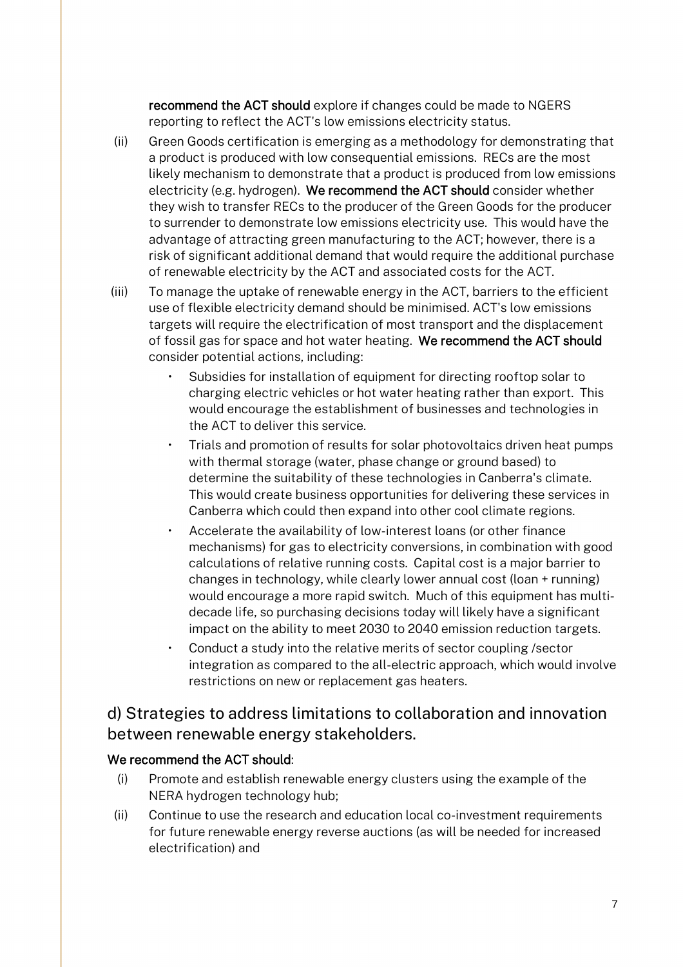recommend the ACT should explore if changes could be made to NGERS reporting to reflect the ACT's low emissions electricity status.

- (ii) Green Goods certification is emerging as a methodology for demonstrating that a product is produced with low consequential emissions. RECs are the most likely mechanism to demonstrate that a product is produced from low emissions electricity (e.g. hydrogen). We recommend the ACT should consider whether they wish to transfer RECs to the producer of the Green Goods for the producer to surrender to demonstrate low emissions electricity use. This would have the advantage of attracting green manufacturing to the ACT; however, there is a risk of significant additional demand that would require the additional purchase of renewable electricity by the ACT and associated costs for the ACT.
- (iii) To manage the uptake of renewable energy in the ACT, barriers to the efficient use of flexible electricity demand should be minimised. ACT's low emissions targets will require the electrification of most transport and the displacement of fossil gas for space and hot water heating. We recommend the ACT should consider potential actions, including:
	- Subsidies for installation of equipment for directing rooftop solar to charging electric vehicles or hot water heating rather than export. This would encourage the establishment of businesses and technologies in the ACT to deliver this service.
	- Trials and promotion of results for solar photovoltaics driven heat pumps with thermal storage (water, phase change or ground based) to determine the suitability of these technologies in Canberra's climate. This would create business opportunities for delivering these services in Canberra which could then expand into other cool climate regions.
	- Accelerate the availability of low-interest loans (or other finance mechanisms) for gas to electricity conversions, in combination with good calculations of relative running costs. Capital cost is a major barrier to changes in technology, while clearly lower annual cost (loan + running) would encourage a more rapid switch. Much of this equipment has multidecade life, so purchasing decisions today will likely have a significant impact on the ability to meet 2030 to 2040 emission reduction targets.
	- Conduct a study into the relative merits of sector coupling /sector integration as compared to the all-electric approach, which would involve restrictions on new or replacement gas heaters.

## d) Strategies to address limitations to collaboration and innovation between renewable energy stakeholders.

#### We recommend the ACT should:

- (i) Promote and establish renewable energy clusters using the example of the NERA hydrogen technology hub;
- (ii) Continue to use the research and education local co-investment requirements for future renewable energy reverse auctions (as will be needed for increased electrification) and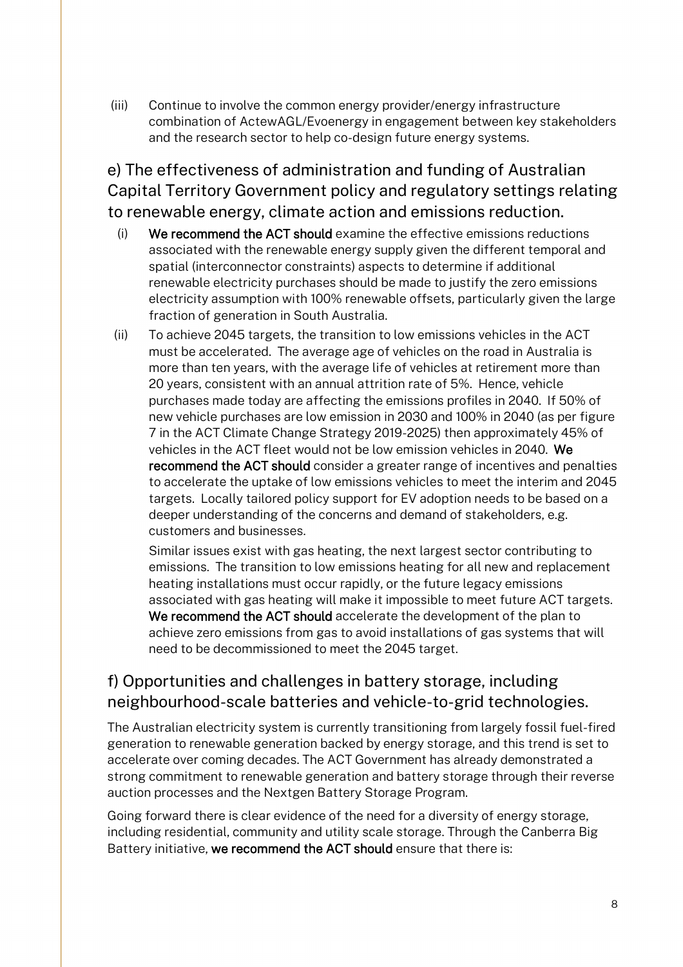(iii) Continue to involve the common energy provider/energy infrastructure combination of ActewAGL/Evoenergy in engagement between key stakeholders and the research sector to help co-design future energy systems.

e) The effectiveness of administration and funding of Australian Capital Territory Government policy and regulatory settings relating to renewable energy, climate action and emissions reduction.

- (i) We recommend the ACT should examine the effective emissions reductions associated with the renewable energy supply given the different temporal and spatial (interconnector constraints) aspects to determine if additional renewable electricity purchases should be made to justify the zero emissions electricity assumption with 100% renewable offsets, particularly given the large fraction of generation in South Australia.
- (ii) To achieve 2045 targets, the transition to low emissions vehicles in the ACT must be accelerated. The average age of vehicles on the road in Australia is more than ten years, with the average life of vehicles at retirement more than 20 years, consistent with an annual attrition rate of 5%. Hence, vehicle purchases made today are affecting the emissions profiles in 2040. If 50% of new vehicle purchases are low emission in 2030 and 100% in 2040 (as per figure 7 in the ACT Climate Change Strategy 2019-2025) then approximately 45% of vehicles in the ACT fleet would not be low emission vehicles in 2040. We recommend the ACT should consider a greater range of incentives and penalties to accelerate the uptake of low emissions vehicles to meet the interim and 2045 targets. Locally tailored policy support for EV adoption needs to be based on a deeper understanding of the concerns and demand of stakeholders, e.g. customers and businesses.

Similar issues exist with gas heating, the next largest sector contributing to emissions. The transition to low emissions heating for all new and replacement heating installations must occur rapidly, or the future legacy emissions associated with gas heating will make it impossible to meet future ACT targets. We recommend the ACT should accelerate the development of the plan to achieve zero emissions from gas to avoid installations of gas systems that will need to be decommissioned to meet the 2045 target.

# f) Opportunities and challenges in battery storage, including neighbourhood-scale batteries and vehicle-to-grid technologies.

The Australian electricity system is currently transitioning from largely fossil fuel-fired generation to renewable generation backed by energy storage, and this trend is set to accelerate over coming decades. The ACT Government has already demonstrated a strong commitment to renewable generation and battery storage through their reverse auction processes and the Nextgen Battery Storage Program.

Going forward there is clear evidence of the need for a diversity of energy storage, including residential, community and utility scale storage. Through the Canberra Big Battery initiative, we recommend the ACT should ensure that there is: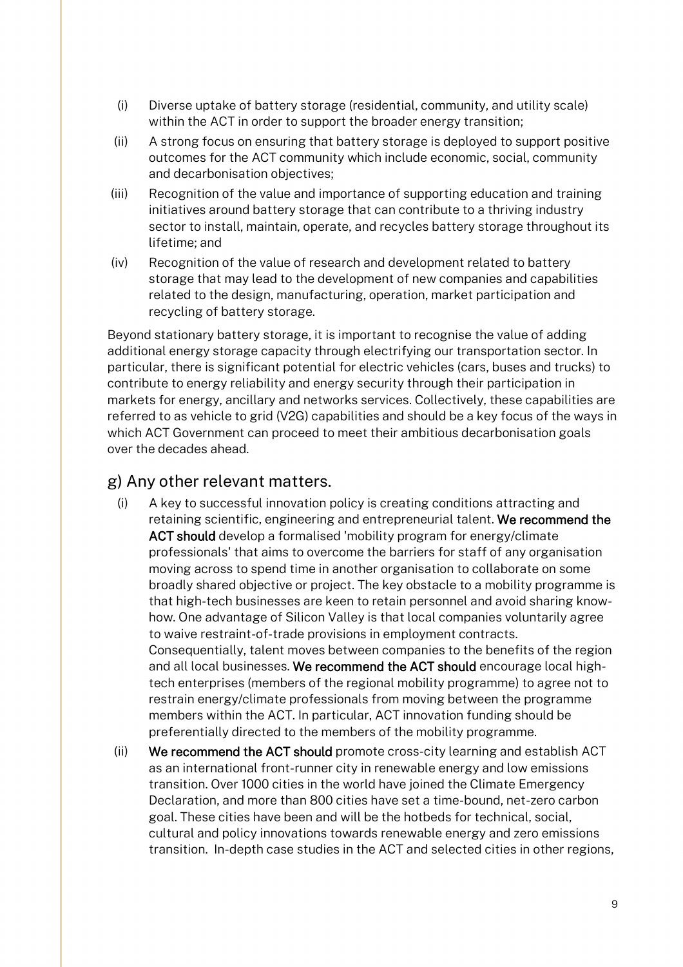- (i) Diverse uptake of battery storage (residential, community, and utility scale) within the ACT in order to support the broader energy transition;
- (ii) A strong focus on ensuring that battery storage is deployed to support positive outcomes for the ACT community which include economic, social, community and decarbonisation objectives;
- (iii) Recognition of the value and importance of supporting education and training initiatives around battery storage that can contribute to a thriving industry sector to install, maintain, operate, and recycles battery storage throughout its lifetime; and
- (iv) Recognition of the value of research and development related to battery storage that may lead to the development of new companies and capabilities related to the design, manufacturing, operation, market participation and recycling of battery storage.

Beyond stationary battery storage, it is important to recognise the value of adding additional energy storage capacity through electrifying our transportation sector. In particular, there is significant potential for electric vehicles (cars, buses and trucks) to contribute to energy reliability and energy security through their participation in markets for energy, ancillary and networks services. Collectively, these capabilities are referred to as vehicle to grid (V2G) capabilities and should be a key focus of the ways in which ACT Government can proceed to meet their ambitious decarbonisation goals over the decades ahead.

### g) Any other relevant matters.

- (i) A key to successful innovation policy is creating conditions attracting and retaining scientific, engineering and entrepreneurial talent. We recommend the ACT should develop a formalised 'mobility program for energy/climate professionals' that aims to overcome the barriers for staff of any organisation moving across to spend time in another organisation to collaborate on some broadly shared objective or project. The key obstacle to a mobility programme is that high-tech businesses are keen to retain personnel and avoid sharing knowhow. One advantage of Silicon Valley is that local companies voluntarily agree to waive restraint-of-trade provisions in employment contracts. Consequentially, talent moves between companies to the benefits of the region and all local businesses. We recommend the ACT should encourage local hightech enterprises (members of the regional mobility programme) to agree not to restrain energy/climate professionals from moving between the programme members within the ACT. In particular, ACT innovation funding should be preferentially directed to the members of the mobility programme.
- (ii) We recommend the ACT should promote cross-city learning and establish ACT as an international front-runner city in renewable energy and low emissions transition. Over 1000 cities in the world have joined the Climate Emergency Declaration, and more than 800 cities have set a time-bound, net-zero carbon goal. These cities have been and will be the hotbeds for technical, social, cultural and policy innovations towards renewable energy and zero emissions transition. In-depth case studies in the ACT and selected cities in other regions,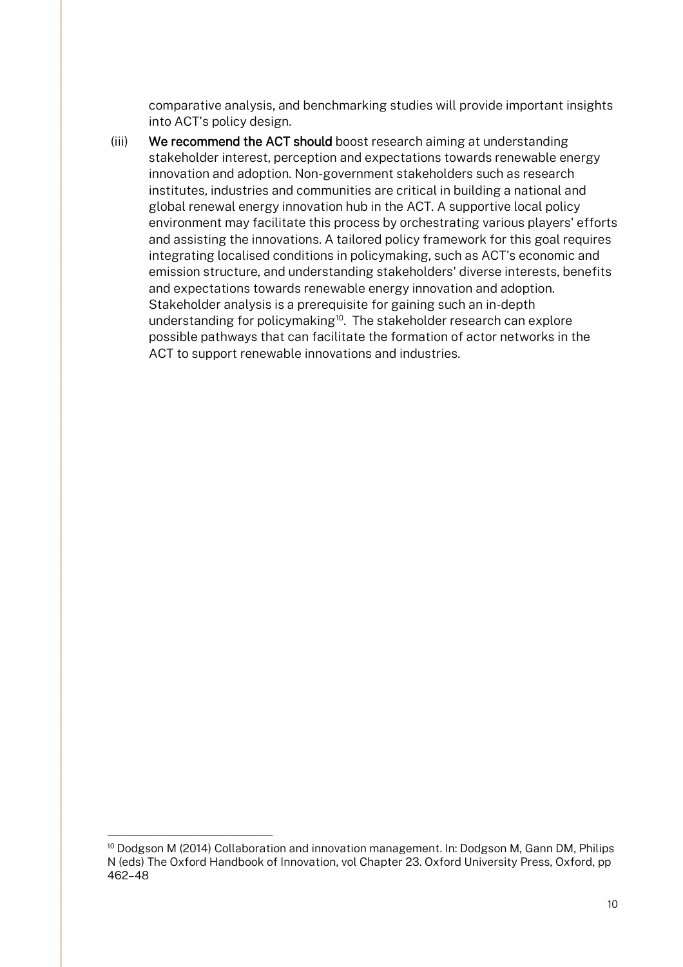comparative analysis, and benchmarking studies will provide important insights into ACT's policy design.

(iii) We recommend the ACT should boost research aiming at understanding stakeholder interest, perception and expectations towards renewable energy innovation and adoption. Non-government stakeholders such as research institutes, industries and communities are critical in building a national and global renewal energy innovation hub in the ACT. A supportive local policy environment may facilitate this process by orchestrating various players' efforts and assisting the innovations. A tailored policy framework for this goal requires integrating localised conditions in policymaking, such as ACT's economic and emission structure, and understanding stakeholders' diverse interests, benefits and expectations towards renewable energy innovation and adoption. Stakeholder analysis is a prerequisite for gaining such an in-depth understanding for policymaking<sup>[10](#page-9-0)</sup>. The stakeholder research can explore possible pathways that can facilitate the formation of actor networks in the ACT to support renewable innovations and industries.

<span id="page-9-0"></span><sup>&</sup>lt;sup>10</sup> Dodgson M (2014) Collaboration and innovation management. In: Dodgson M, Gann DM, Philips N (eds) The Oxford Handbook of Innovation, vol Chapter 23. Oxford University Press, Oxford, pp 462–48